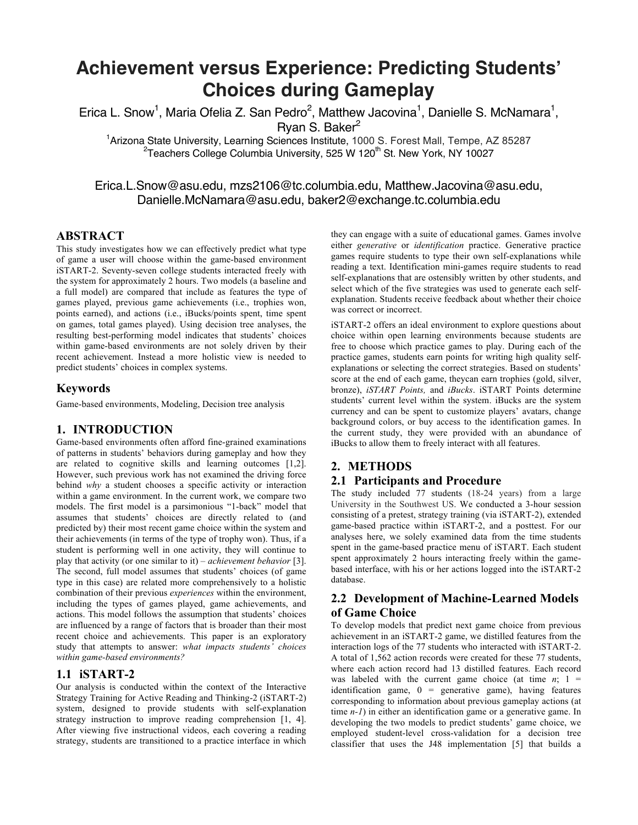# **Achievement versus Experience: Predicting Students' Choices during Gameplay**

Erica L. Snow<sup>1</sup>, Maria Ofelia Z. San Pedro<sup>2</sup>, Matthew Jacovina<sup>1</sup>, Danielle S. McNamara<sup>1</sup>,

Ryan S. Baker<sup>2</sup>

<sup>1</sup> Arizona State University, Learning Sciences Institute, 1000 S. Forest Mall, Tempe, AZ 85287 <sup>2</sup>Teachers College Columbia University, 525 W 120<sup>th</sup> St. New York, NY 10027

# Erica.L.Snow@asu.edu, mzs2106@tc.columbia.edu, Matthew.Jacovina@asu.edu, Danielle.McNamara@asu.edu, baker2@exchange.tc.columbia.edu

#### **ABSTRACT**

This study investigates how we can effectively predict what type of game a user will choose within the game-based environment iSTART-2. Seventy-seven college students interacted freely with the system for approximately 2 hours. Two models (a baseline and a full model) are compared that include as features the type of games played, previous game achievements (i.e., trophies won, points earned), and actions (i.e., iBucks/points spent, time spent on games, total games played). Using decision tree analyses, the resulting best-performing model indicates that students' choices within game-based environments are not solely driven by their recent achievement. Instead a more holistic view is needed to predict students' choices in complex systems.

## **Keywords**

Game-based environments, Modeling, Decision tree analysis

## **1. INTRODUCTION**

Game-based environments often afford fine-grained examinations of patterns in students' behaviors during gameplay and how they are related to cognitive skills and learning outcomes [1,2]. However, such previous work has not examined the driving force behind *why* a student chooses a specific activity or interaction within a game environment. In the current work, we compare two models. The first model is a parsimonious "1-back" model that assumes that students' choices are directly related to (and predicted by) their most recent game choice within the system and their achievements (in terms of the type of trophy won). Thus, if a student is performing well in one activity, they will continue to play that activity (or one similar to it) – *achievement behavior* [3]. The second, full model assumes that students' choices (of game type in this case) are related more comprehensively to a holistic combination of their previous *experiences* within the environment, including the types of games played, game achievements, and actions. This model follows the assumption that students' choices are influenced by a range of factors that is broader than their most recent choice and achievements. This paper is an exploratory study that attempts to answer: *what impacts students' choices within game-based environments?*

## **1.1 iSTART-2**

Our analysis is conducted within the context of the Interactive Strategy Training for Active Reading and Thinking-2 (iSTART-2) system, designed to provide students with self-explanation strategy instruction to improve reading comprehension [1, 4]. After viewing five instructional videos, each covering a reading strategy, students are transitioned to a practice interface in which

they can engage with a suite of educational games. Games involve either *generative* or *identification* practice. Generative practice games require students to type their own self-explanations while reading a text. Identification mini-games require students to read self-explanations that are ostensibly written by other students, and select which of the five strategies was used to generate each selfexplanation. Students receive feedback about whether their choice was correct or incorrect.

iSTART-2 offers an ideal environment to explore questions about choice within open learning environments because students are free to choose which practice games to play. During each of the practice games, students earn points for writing high quality selfexplanations or selecting the correct strategies. Based on students' score at the end of each game, theycan earn trophies (gold, silver, bronze), *iSTART Points,* and *iBucks*. iSTART Points determine students' current level within the system. iBucks are the system currency and can be spent to customize players' avatars, change background colors, or buy access to the identification games. In the current study, they were provided with an abundance of iBucks to allow them to freely interact with all features.

# **2. METHODS**

## **2.1 Participants and Procedure**

The study included 77 students (18-24 years) from a large University in the Southwest US. We conducted a 3-hour session consisting of a pretest, strategy training (via iSTART-2), extended game-based practice within iSTART-2, and a posttest. For our analyses here, we solely examined data from the time students spent in the game-based practice menu of iSTART. Each student spent approximately 2 hours interacting freely within the gamebased interface, with his or her actions logged into the iSTART-2 database.

## **2.2 Development of Machine-Learned Models of Game Choice**

To develop models that predict next game choice from previous achievement in an iSTART-2 game, we distilled features from the interaction logs of the 77 students who interacted with iSTART-2. A total of 1,562 action records were created for these 77 students, where each action record had 13 distilled features. Each record was labeled with the current game choice (at time  $n$ ; 1 = identification game,  $0 =$  generative game), having features corresponding to information about previous gameplay actions (at time *n-1*) in either an identification game or a generative game. In developing the two models to predict students' game choice, we employed student-level cross-validation for a decision tree classifier that uses the J48 implementation [5] that builds a